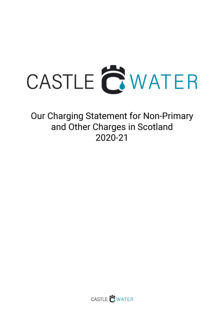

Our Charging Statement for Non-Primary and Other Charges in Scotland 2020-21

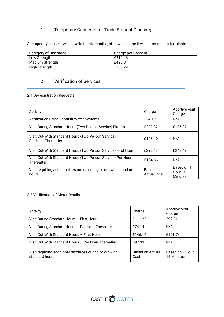# 1 Temporary Consents for Trade Effluent Discharge

A temporary consent will be valid for six months, after which time it will automatically terminate.

| Category of Discharge | Charge per Consent |
|-----------------------|--------------------|
| Low Strength          | F212.46            |
| Medium Strength       | £425.04            |
| High Strength         | £708.29            |

## 2 Verification of Services

## 2.1 De-registration Requests

| Activity                                                                  | Charge                  | Abortive Visit<br>Charge                |
|---------------------------------------------------------------------------|-------------------------|-----------------------------------------|
| Verification using Scottish Water Systems                                 | £24.19                  | N/A                                     |
| Visit During Standard Hours (Two Person Service) First Hour               | £222.32                 | £185.02                                 |
| Visit Out-With Standard Hours (Two Person Service)<br>Per Hour Thereafter | £148.40                 | N/A                                     |
| Visit Out-With Standard Hours (Two Person Service) First Hour             | £292.43                 | £243.49                                 |
| Visit Out-With Standard Hours (Two Person Service) Per Hour<br>Thereafter | £194.66                 | N/A                                     |
| Visit requiring additional resources during or out-with standard<br>hours | Based on<br>Actual Cost | Based on 1<br>Hour 15<br><b>Minutes</b> |

### 2.2 Verification of Meter Details

| Activity                                                                  | Charge                  | <b>Abortive Visit</b><br>Charge |
|---------------------------------------------------------------------------|-------------------------|---------------------------------|
| Visit During Standard Hours - First Hour                                  | £111.22                 | £92.51                          |
| Visit During Standard Hours - Per Hour Thereafter                         | £74.14                  | N/A                             |
| Visit Out-With Standard Hours - First Hour                                | £146.16                 | £121.74                         |
| Visit Out-With Standard Hours - Per Hour Thereafter                       | £97.33                  | N/A                             |
| Visit requiring additional resources during or out-with<br>standard hours | Based on Actual<br>Cost | Based on 1 Hour<br>15 Minutes   |

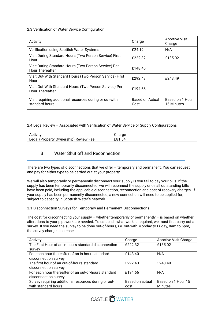### 2.3 Verification of Water Service Configuration

| Activity                                                                         | Charge                  | <b>Abortive Visit</b><br>Charge |
|----------------------------------------------------------------------------------|-------------------------|---------------------------------|
| Verification using Scottish Water Systems                                        | £24.19                  | N/A                             |
| Visit During Standard Hours (Two Person Service) First<br>Hour                   | £222.32                 | £185.02                         |
| Visit During Standard Hours (Two Person Service) Per<br><b>Hour Thereafter</b>   | £148.40                 |                                 |
| Visit Out-With Standard Hours (Two Person Service) First<br>Hour                 | £292.43                 | £243.49                         |
| Visit Out-With Standard Hours (Two Person Service) Per<br><b>Hour Thereafter</b> | £194.66                 |                                 |
| Visit requiring additional resources during or out-with<br>standard hours        | Based on Actual<br>Cost | Based on 1 Hour<br>15 Minutes   |

### 2.4 Legal Review – Associated with Verification of Water Service or Supply Configurations

| $\cdot$ .<br>Activity                          | onarge |
|------------------------------------------------|--------|
| Legal<br>(Property)<br>Ownership<br>Review Fee | £81.54 |

## 3 Water Shut off and Reconnection

There are two types of disconnections that we offer – temporary and permanent. You can request and pay for either type to be carried out at your property.

We will also temporarily or permanently disconnect your supply is you fail to pay your bills. If the supply has been temporarily disconnected, we will reconnect the supply once all outstanding bills have been paid, including the applicable disconnection, reconnection and cost of recovery charges. If your supply has been permanently disconnected, a new connection will need to be applied for, subject to capacity in Scottish Water's network.

### 3.1 Disconnection Surveys for Temporary and Permanent Disconnections

The cost for disconnecting your supply – whether temporarily or permanently – is based on whether alterations to your pipework are needed. To establish what work is required, we must first carry out a survey. If you need the survey to be done out-of-hours, i.e. out-with Monday to Friday, 8am to 6pm, the survey charges increase.

| Activity                                             | Charge          | <b>Abortive Visit Charge</b> |
|------------------------------------------------------|-----------------|------------------------------|
| The First Hour of an in-hours standard disconnection | £222.32         | £185.02                      |
| survey                                               |                 |                              |
| For each hour thereafter of an in-hours standard     | £148.40         | N/A                          |
| disconnection survey                                 |                 |                              |
| The first hour of an out-of-hours standard           | £292.43         | £243.49                      |
| disconnection survey                                 |                 |                              |
| For each hour thereafter of an out-of-hours standard | £194.66         | N/A                          |
| disconnection survey                                 |                 |                              |
| Survey requiring additional resources during or out- | Based on actual | Based on 1 Hour 15           |
| with standard hours                                  | cost            | <b>Minutes</b>               |

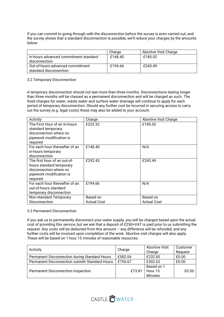If you can commit to going through with the disconnection before the survey is even carried out, and the survey shows that a standard disconnection is possible, we'll reduce your charges by the amounts below:

|                                                            | Charge  | Abortive Visit Charge |
|------------------------------------------------------------|---------|-----------------------|
| In-hours advanced commitment standard<br>disconnection     | £148.40 | £185.02               |
| Out-of-hours advanced commitment<br>standard disconnection | £194.66 | £243.49               |

#### 3.2 Temporary Disconnection

A temporary disconnection should not last more than three months. Disconnections lasting longer than three months will be classed as a permanent disconnection and will be charged as such. The fixed charges for water, waste water and surface water drainage will continue to apply for each period of temporary disconnection. Should any further cost be incurred in securing access to carry out the survey (e.g. legal costs) these may also be added to your account.

| Activity                                                                                                                   | Charge                         | Abortive Visit Charge          |
|----------------------------------------------------------------------------------------------------------------------------|--------------------------------|--------------------------------|
| The First Hour of an in-hours<br>standard temporary<br>disconnection where no<br>pipework modification is<br>required      | £222.32                        | £185.02                        |
| For each hour thereafter of an<br>in-hours temporary<br>disconnection                                                      | £148.40                        | N/A                            |
| The first hour of an out-of-<br>hours standard temporary<br>disconnection where no<br>pipework modification is<br>required | £292.43                        | £243.49                        |
| For each hour thereafter of an<br>out-of-hours standard<br>temporary disconnection                                         | £194.66                        | N/A                            |
| Non-standard Temporary<br><b>Disconnection</b>                                                                             | Based on<br><b>Actual Cost</b> | Based on<br><b>Actual Cost</b> |

#### 3.3 Permanent Disconnection

If you ask us to permanently disconnect your water supply, you will be charged based upon the actual cost of providing this service, but we ask that a deposit of £250+VAT is paid prior to us submitting the request. Any costs will be deducted from this amount – any difference will be refunded, and any further costs will be invoiced upon completion of the work. Abortive visit charges will also apply. These will be based on 1 hour 15 minutes of reasonable resources.

| Activity                                       | Charge  | <b>Abortive Visit</b><br>Charge         | Customer<br>Request |
|------------------------------------------------|---------|-----------------------------------------|---------------------|
| Permanent Disconnection during Standard Hours  | £582.06 | £232.85                                 | £0.00               |
| Permanent Disconnection outwith Standard Hours | £756.67 | £302.62                                 | £0.00               |
| <b>Permanent Disconnection Inspection</b>      | £73.81  | Based on 1<br>Hour 15<br><b>Minutes</b> | £0.00               |

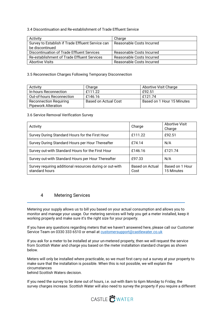### 3.4 Discontinuation and Re-establishment of Trade Effluent Service

| Activity                                          | Charge                    |
|---------------------------------------------------|---------------------------|
| Survey to Establish if Trade Effluent Service can | Reasonable Costs Incurred |
| be discontinued                                   |                           |
| Discontinuation of Trade Effluent Services        | Reasonable Costs Incurred |
| Re-establishment of Trade Effluent Services       | Reasonable Costs Incurred |
| <b>Abortive Visits</b>                            | Reasonable Costs Incurred |

### 3.5 Reconnection Charges Following Temporary Disconnection

| Activity                      | Charge               | Abortive Visit Charge      |
|-------------------------------|----------------------|----------------------------|
| In-hours Reconnection         | f111.22              | £92.51                     |
| Out-of-hours Reconnection     | £146.16              | f121.74                    |
| <b>Reconnection Requiring</b> | Based on Actual Cost | Based on 1 Hour 15 Minutes |
| <b>Pipework Alteration</b>    |                      |                            |

### 3.6 Service Removal Verification Survey

| Activity                                                                   | Charge                  | Abortive Visit<br>Charge      |
|----------------------------------------------------------------------------|-------------------------|-------------------------------|
| Survey During Standard Hours for the First Hour                            | £111.22                 | £92.51                        |
| Survey During Standard Hours per Hour Thereafter                           | £74.14                  | N/A                           |
| Survey out-with Standard Hours for the First Hour                          | £146.16                 | £121.74                       |
| Survey out-with Standard Hours per Hour Thereafter                         | £97.33                  | N/A                           |
| Survey requiring additional resources during or out-with<br>standard hours | Based on Actual<br>Cost | Based on 1 Hour<br>15 Minutes |

## 4 Metering Services

Metering your supply allows us to bill you based on your actual consumption and allows you to monitor and manage your usage. Our metering services will help you get a meter installed, keep it working properly and make sure it's the right size for your property.

If you have any questions regarding meters that we haven't answered here, please call our Customer Service Team on 0330 333 6510 or email at customersupport@castlewater.co.uk

If you ask for a meter to be installed at your un-metered property, then we will request the service from Scottish Water and charge you based on the meter installation standard charges as shown below.

Meters will only be installed where practicable, so we must first carry out a survey at your property to make sure that the installation is possible. When this is not possible, we will explain the circumstances behind Scottish Waters decision.

If you need the survey to be done out of hours, i.e. out-with 8am to 6pm Monday to Friday, the survey charges increase. Scottish Water will also need to survey the property if you require a different

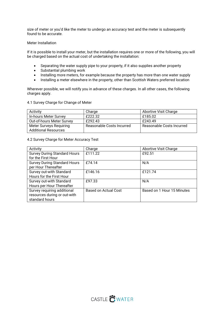size of meter or you'd like the meter to undergo an accuracy test and the meter is subsequently found to be accurate.

#### Meter Installation

If it is possible to install your meter, but the installation requires one or more of the following, you will be charged based on the actual cost of undertaking the installation:

- Separating the water supply pipe to your property, if it also supplies another property
- Substantial plumbing work
- Installing more meters, for example because the property has more than one water supply
- Installing a meter elsewhere in the property, other than Scottish Waters preferred location

Wherever possible, we will notify you in advance of these charges. In all other cases, the following charges apply.

#### 4.1 Survey Charge for Change of Meter

| Activity                    | Charge                    | Abortive Visit Charge     |
|-----------------------------|---------------------------|---------------------------|
| In-hours Meter Survey       | £222.32                   | £185.02                   |
| Out-of-hours Meter Survey   | £292.43                   | £243.49                   |
| Meter Surveys Requiring     | Reasonable Costs Incurred | Reasonable Costs Incurred |
| <b>Additional Resources</b> |                           |                           |

4.2 Survey Charge for Meter Accuracy Test

| Activity                            | Charge               | Abortive Visit Charge      |
|-------------------------------------|----------------------|----------------------------|
| <b>Survey During Standard Hours</b> | £111.22              | £92.51                     |
| for the First Hour                  |                      |                            |
| <b>Survey During Standard Hours</b> | £74.14               | N/A                        |
| per Hour Thereafter                 |                      |                            |
| Survey out-with Standard            | £146.16              | £121.74                    |
| Hours for the First Hour            |                      |                            |
| Survey out-with Standard            | £97.33               | N/A                        |
| Hours per Hour Thereafter           |                      |                            |
| Survey requiring additional         | Based on Actual Cost | Based on 1 Hour 15 Minutes |
| resources during or out-with        |                      |                            |
| standard hours                      |                      |                            |

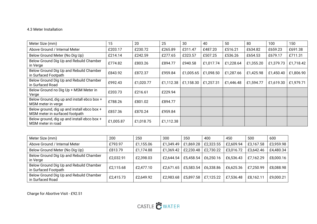### 4.3 Meter Installation

| Meter Size (mm)                                                               | 15        | 20        | 25        | 30        | 40        | 50        | 80        | 100       | 150       |
|-------------------------------------------------------------------------------|-----------|-----------|-----------|-----------|-----------|-----------|-----------|-----------|-----------|
| Above Ground / Internal Meter                                                 | £203.17   | £230.72   | £265.89   | £311.47   | £487.20   | £516.21   | £634.82   | £659.23   | £691.38   |
| Below Ground Meter (No Dig Up)                                                | £214.14   | £242.59   | £277.65   | £323.57   | £507.25   | £536.26   | £654.53   | £679.17   | £711.31   |
| Below Ground Dig Up and Rebuild Chamber<br>in Verge                           | £774.82   | £803.26   | £894.77   | £940.58   | £1,017.74 | £1,228.64 | £1,355.20 | £1,379.73 | £1,718.42 |
| Below Ground Dig Up and Rebuild Chamber<br>in Surfaced Footpath               | £843.92   | £872.37   | £959.84   | £1,005.65 | £1,098.50 | £1,287.66 | £1,425.98 | £1,450.40 | £1,806.90 |
| Below Ground Dig Up and Rebuild Chamber<br>in Surfaced Road                   | £992.43   | £1,020.77 | £1,112.38 | £1,158.30 | £1,257.31 | £1,446.48 | £1,594.77 | £1,619.30 | £1,979.71 |
| Below Ground no Dig Up + MSM Meter in<br>Verge                                | £203.73   | £216.61   | £229.94   |           |           |           |           |           |           |
| Below Ground, dig up and install ebco box +<br>MSM meter in verge             | £788.26   | £801.02   | £894.77   |           |           |           |           |           |           |
| Below ground, dig up and install ebco box +<br>MSM meter in surfaced footpath | £857.36   | £870.24   | £959.84   |           |           |           |           |           |           |
| Below ground, dig up and install ebco box +<br>MSM meter in road              | £1,005.87 | £1,018.75 | £1,112.38 |           |           |           |           |           |           |

| Meter Size (mm)                                                 | 200       | 250       | 300       | 350       | 400       | 450       | 500       | 600       |
|-----------------------------------------------------------------|-----------|-----------|-----------|-----------|-----------|-----------|-----------|-----------|
| Above Ground / Internal Meter                                   | £793.97   | £1,155.06 | £1,349.49 | £1,869.28 | £2,323.55 | £2,609.94 | £3,167.58 | £3,959.98 |
| Below Ground Meter (No Dig Up)                                  | £813.79   | £1,174.88 | £1,369.42 | £2,230.48 | £2,730.22 | £3,016.72 | £3,642.46 | £4,480.34 |
| Below Ground Dig Up and Rebuild Chamber<br>in Verge             | £2,032.91 | £2,398.03 | £2,644.54 | £5,458.54 | £6,250.16 | £6,536.43 | £7,162.29 | £8,000.16 |
| Below Ground Dig Up and Rebuild Chamber<br>in Surfaced Footpath | £2,115.68 | £2,477.10 | £2,671.65 | £5,583.54 | £6,338.86 | £6,625.36 | £7,250.99 | £8,088.98 |
| Below Ground Dig Up and Rebuild Chamber<br>in Surfaced Road     | £2,415.73 | £2,649.92 | £2,983.68 | £5,897.58 | £7,125.22 | £7,536.48 | £8,162.11 | £9,000.21 |

Charge for Abortive Visit - £92.51

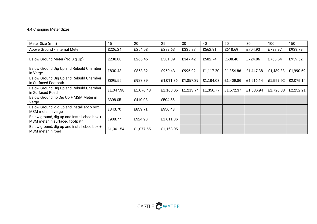### 4.4 Changing Meter Sizes

| Meter Size (mm)                                                               | 15        | 20        | 25        | 30        | 40        | 50        | 80        | 100       | 150       |
|-------------------------------------------------------------------------------|-----------|-----------|-----------|-----------|-----------|-----------|-----------|-----------|-----------|
| Above Ground / Internal Meter                                                 | £226.24   | £254.58   | £289.63   | £335.33   | £562.91   | £618.69   | £704.93   | £793.97   | £939.79   |
| Below Ground Meter (No Dig Up)                                                | £238.00   | £266.45   | £301.39   | £347.42   | £582.74   | £638.40   | £724.86   | £766.64   | £959.62   |
| Below Ground Dig Up and Rebuild Chamber<br>in Verge                           | £830.48   | £858.82   | £950.43   | £996.02   | £1,117.20 | £1,354.86 | £1,447.38 | £1,489.38 | £1,990.69 |
| Below Ground Dig Up and Rebuild Chamber<br>in Surfaced Footpath               | £895.55   | £923.89   | £1,011.36 | £1,057.39 | £1,194.03 | £1,409.86 | £1,516.14 | £1,557.92 | £2,075.14 |
| Below Ground Dig Up and Rebuild Chamber<br>in Surfaced Road                   | £1,047.98 | £1,076.43 | £1,168.05 | £1,213.74 | £1,356.77 | £1,572.37 | £1,686.94 | £1,728.83 | £2,252.21 |
| Below Ground no Dig Up + MSM Meter in<br>Verge                                | £398.05   | £410.93   | £504.56   |           |           |           |           |           |           |
| Below Ground, dig up and install ebco box +<br>MSM meter in verge             | £843.70   | £859.71   | £950.43   |           |           |           |           |           |           |
| Below ground, dig up and install ebco box +<br>MSM meter in surfaced footpath | £908.77   | £924.90   | £1,011.36 |           |           |           |           |           |           |
| Below ground, dig up and install ebco box +<br>MSM meter in road              | £1,061.54 | £1,077.55 | £1,168.05 |           |           |           |           |           |           |

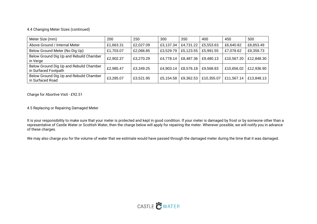### 4.4 Changing Meter Sizes (continued)

| Meter Size (mm)                                                 | 200       | 250       | 300       | 350       | 400        | 450        | 500        |
|-----------------------------------------------------------------|-----------|-----------|-----------|-----------|------------|------------|------------|
| Above Ground / Internal Meter                                   | £1,663.31 | £2,027.09 | £3,137.34 | £4,731.22 | £5,553.63  | £6,640.82  | £8,853.49  |
| Below Ground Meter (No Dig Up)                                  | £1,703.07 | £2,066.85 | £3,529.79 | £5,123.55 | £5,991.55  | £7,078.62  | £9,359.73  |
| Below Ground Dig Up and Rebuild Chamber<br>in Verge             | £2,902.37 | £3,270.29 | £4,778.14 | £8,487.36 | £9,480.13  | £10,567.20 | £12,848.30 |
| Below Ground Dig Up and Rebuild Chamber<br>in Surfaced Footpath | £2,985.47 | £3,349.25 | £4,903.14 | £8,576.18 | £9,568.83  | £10,656.02 | £12,936.90 |
| Below Ground Dig Up and Rebuild Chamber<br>in Surfaced Road     | £3,285.07 | £3,521.95 | £5,154.58 | £9,362.53 | £10,355.07 | £11,567.14 | £13,848.13 |

Charge for Abortive Visit - £92.51

4.5 Replacing or Repairing Damaged Meter

It is your responsibility to make sure that your meter is protected and kept in good condition. If your meter is damaged by frost or by someone other than a representative of Castle Water or Scottish Water, then the charge below will apply for repairing the meter. Wherever possible, we will notify you in advance of these charges.

We may also charge you for the volume of water that we estimate would have passed through the damaged meter during the time that it was damaged.

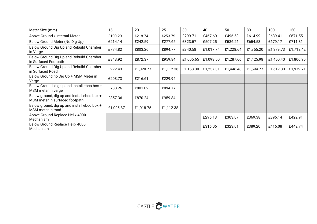| Meter Size (mm)                                                               | 15        | 20        | 25        | 30        | 40        | 50        | 80        | 100       | 150       |
|-------------------------------------------------------------------------------|-----------|-----------|-----------|-----------|-----------|-----------|-----------|-----------|-----------|
| Above Ground / Internal Meter                                                 | £190.29   | £218.74   | £253.79   | £299.71   | £467.60   | £496.50   | £614.99   | £639.41   | £671.55   |
| Below Ground Meter (No Dig Up)                                                | £214.14   | £242.59   | £277.65   | £323.57   | £507.25   | £536.26   | £654.53   | £679.17   | £711.31   |
| Below Ground Dig Up and Rebuild Chamber<br>in Verge                           | £774.82   | £803.26   | £894.77   | £940.58   | £1,017.74 | £1,228.64 | £1,355.20 | £1,379.73 | £1,718.42 |
| Below Ground Dig Up and Rebuild Chamber<br>in Surfaced Footpath               | £843.92   | £872.37   | £959.84   | £1,005.65 | £1,098.50 | £1,287.66 | £1,425.98 | £1,450.40 | £1,806.90 |
| Below Ground Dig Up and Rebuild Chamber<br>in Surfaced Road                   | £992.43   | £1,020.77 | £1,112.38 | £1,158.30 | £1,257.31 | £1,446.48 | £1,594.77 | £1,619.30 | £1,979.71 |
| Below Ground no Dig Up + MSM Meter in<br>Verge                                | £203.73   | £216.61   | £229.94   |           |           |           |           |           |           |
| Below Ground, dig up and install ebco box +<br>MSM meter in verge             | £788.26   | £801.02   | £894.77   |           |           |           |           |           |           |
| Below ground, dig up and install ebco box +<br>MSM meter in surfaced footpath | £857.36   | £870.24   | £959.84   |           |           |           |           |           |           |
| Below ground, dig up and install ebco box +<br>MSM meter in road              | £1,005.87 | £1,018.75 | £1,112.38 |           |           |           |           |           |           |
| Above Ground Replace Helix 4000                                               |           |           |           |           | £296.13   | £303.07   | £369.38   | £396.14   | £422.91   |
| Mechanism<br>Below Ground Replace Helix 4000                                  |           |           |           |           |           |           |           |           |           |
| Mechanism                                                                     |           |           |           |           | £316.06   | £323.01   | £389.20   | £416.08   | £442.74   |

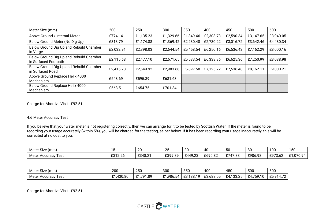| Meter Size (mm)                                                 | 200       | 250       | 300       | 350       | 400       | 450       | 500       | 600       |
|-----------------------------------------------------------------|-----------|-----------|-----------|-----------|-----------|-----------|-----------|-----------|
| Above Ground / Internal Meter                                   | £774.14   | £1,135.23 | £1,329.66 | £1,849.46 | £2,303.73 | £2,590.34 | £3,147.65 | £3,940.05 |
| Below Ground Meter (No Dig Up)                                  | £813.79   | £1,174.88 | £1,369.42 | £2,230.48 | £2,730.22 | £3,016.72 | £3,642.46 | £4,480.34 |
| Below Ground Dig Up and Rebuild Chamber<br>in Verge             | £2,032.91 | £2,398.03 | £2,644.54 | £5,458.54 | £6,250.16 | £6,536.43 | £7,162.29 | £8,000.16 |
| Below Ground Dig Up and Rebuild Chamber<br>in Surfaced Footpath | £2,115.68 | £2,477.10 | £2,671.65 | £5,583.54 | £6,338.86 | £6,625.36 | £7,250.99 | £8,088.98 |
| Below Ground Dig Up and Rebuild Chamber<br>in Surfaced Road     | £2,415.73 | £2,649.92 | £2,983.68 | £5,897.58 | £7,125.22 | £7,536.48 | £8,162.11 | £9,000.21 |
| Above Ground Replace Helix 4000<br>Mechanism                    | £548.69   | £595.39   | £681.63   |           |           |           |           |           |
| Below Ground Replace Helix 4000<br>Mechanism                    | £568.51   | £654.75   | £701.34   |           |           |           |           |           |

Charge for Abortive Visit - £92.51

### 4.6 Meter Accuracy Test

If you believe that your water meter is not registering correctly, then we can arrange for it to be tested by Scottish Water. If the meter is found to be recording your usage accurately (within 5%), you will be charged for the testing, as per below. If it has been recording your usage inaccurately, this will be corrected at no cost to you.

| $\sim$ .<br>Meter<br>' Size<br>(mm) |         | 20      | $\Omega$                  | 30           | ,,<br>rv | 50                    | 80      | 100                                   | $\sim$ $\sim$ $\sim$<br>. .<br>טט ו |
|-------------------------------------|---------|---------|---------------------------|--------------|----------|-----------------------|---------|---------------------------------------|-------------------------------------|
| Meter<br>l est<br>Accuracy          | £312.26 | £348.21 | c 300 30<br><b>LUSS.U</b> | .4492<br>フ・ム | £690.82  | £747.38<br><u>.</u> , | £906.98 | <b>COJ3</b><br>$\sim$ $\sim$<br>.J.UZ | ገ70.94<br>ں. ا                      |

| $\sim$ $\sim$<br>Meter.<br>(mm)<br>Size | 200                              | 250                  | 300                  | 350                | 400                | $1 - 0$<br>45C | 500                          | 600                                     |
|-----------------------------------------|----------------------------------|----------------------|----------------------|--------------------|--------------------|----------------|------------------------------|-----------------------------------------|
| Meter Accuracy<br>I est                 | ,430.80<br><b>01</b><br><u>.</u> | ,791.89<br>$^{\sim}$ | 1986<br>$\sim$<br>יי | F3 188<br>.<br>uu. | $\sim$<br>1.688.05 | £4,133.25      | <b>CA 750</b><br>59.<br>£4,7 | CPA4<br>$\overline{\phantom{a}}$<br>. . |

Charge for Abortive Visit - £92.51

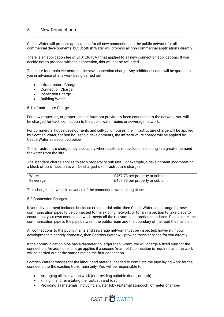### 5 New Connections

Castle Water will process applications for all new connections to the public network for all commercial developments, but Scottish Water will process all non-commercial applications directly.

There is an application fee of £101.36+VAT that applied to all new connection applications. If you decide not to proceed with the connection, this will not be refunded.

There are four main elements to the new connection charge. Any additional costs will be quotes to you in advance of any work being carried out.

- Infrastructure Charge
- Connection Charge
- Inspection Charge
- Building Water

#### 5.1 Infrastructure Charge

For new properties, or properties that have not previously been connected to the network, you will be charged for each connection to the public water mains or sewerage network.

For commercial house developments and self-build houses, the infrastructure charge will be applied by Scottish Water; for non-household developments, the infrastructure charge will be applied by Castle Water as described below.

The infrastructure charge may also apply where a site is redeveloped, resulting in a greater demand for water from the site.

The standard charge applies to each property or sub unit. For example, a development incorporating a block of six offices units will be charged six infrastructure charges.

| Water    | $\neg$<br><sup>.</sup> property or sub unit<br>per   |
|----------|------------------------------------------------------|
| Sewerage | r property or sub unit<br>per<br>$\overline{a}$<br>ື |

This charge is payable in advance of the connection work taking place.

#### 5.2 Connection Charges

If your development includes business or industrial units, then Castle Water can arrange for new communication pipes to be connected to the existing network, or for an inspection to take place to ensure that your own connection work meets all the relevant construction standards. Please note, the communication pipe is the pipe between the public main and the boundary of the road the main is in.

All connections to the public mains and sewerage network must be inspected; however, if your development is entirely domestic, then Scottish Water will provide these services for you directly.

If the communication pipe has a diameter no larger than 32mm, we will charge a fixed sum for the connection. An additional charge applies if a second 'manifold' connection is required, and the work will be carried out at the same time as the first connection.

Scottish Water arranges for the labour and material needed to complete the pipe laying work for the connection to the existing trunk main only. You will be responsible for:

- Arranging all excavation work (or providing suitable ducts, or both)
- Filling in and reinstating the footpath and road
- Providing all materials, including a water toby (external stopcock) or meter chamber

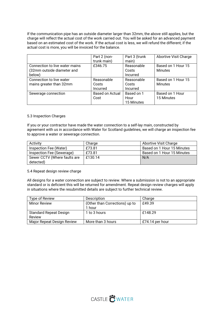If the communication pipe has an outside diameter larger than 32mm, the above still applies, but the charge will reflect the actual cost of the work carried out. You will be asked for an advanced payment based on an estimated cost of the work. If the actual cost is less, we will refund the different; if the actual cost is more, you will be invoiced for the balance.

|                                | Part 2 (non-           | Part 3 (trunk | <b>Abortive Visit Charge</b> |
|--------------------------------|------------------------|---------------|------------------------------|
|                                | trunk main)            | main)         |                              |
| Connection to live water mains | £346.75                | Reasonable    | Based on 1 Hour 15           |
| (32mm outside diameter and     |                        | Costs         | Minutes                      |
| below)                         |                        | Incurred      |                              |
| Connection to live water       | Reasonable             | Reasonable    | Based on 1 Hour 15           |
| mains greater than 32mm        | Costs                  | Costs         | <b>Minutes</b>               |
|                                | Incurred               | Incurred      |                              |
| Sewerage connection            | <b>Based on Actual</b> | Based on 1    | Based on 1 Hour              |
|                                | Cost                   | Hour          | 15 Minutes                   |
|                                |                        | 15 Minutes    |                              |

#### 5.3 Inspection Charges

If you or your contractor have made the water connection to a self-lay main, constructed by agreement with us in accordance with Water for Scotland guidelines, we will charge an inspection fee to approve a water or sewerage connection.

| Activity                     | Charge  | Abortive Visit Charge      |
|------------------------------|---------|----------------------------|
| Inspection Fee (Water)       | £73.81  | Based on 1 Hour 15 Minutes |
| Inspection Fee (Sewerage)    | £73.81  | Based on 1 Hour 15 Minutes |
| Sewer CCTV (Where faults are | £130.14 | N/A                        |
| detected)                    |         |                            |

#### 5.4 Repeat design review charge

All designs for a water connection are subject to review. Where a submission is not to an appropriate standard or is deficient this will be returned for amendment. Repeat design review charges will apply in situations where the resubmitted details are subject to further technical review.

| Type of Review                | Description                    | Charge          |
|-------------------------------|--------------------------------|-----------------|
| <b>Minor Review</b>           | (Other than Corrections) up to | £49.39          |
|                               | 1 hour                         |                 |
| <b>Standard Repeat Design</b> | 1 to 3 hours                   | £148.29         |
| Review                        |                                |                 |
| Major Repeat Design Review    | More than 3 hours              | £74.14 per hour |

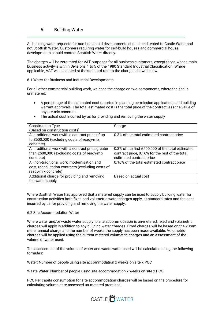### 6 Building Water

All building water requests for non-household developments should be directed to Castle Water and not Scottish Water. Customers requiring water for self-build houses and commercial house developments should contact Scottish Water directly.

The charges will be zero rated for VAT purposes for all business customers, except those whose main business activity is within Divisions 1 to 5 of the 1980 Standard Industrial Classification. Where applicable, VAT will be added at the standard rate to the charges shown below.

#### 6.1 Water for Business and Industrial Developments

For all other commercial building work, we base the charge on two components, where the site is unmetered:

- A percentage of the estimated cost reported in planning permission applications and building warrant approvals. The total estimated cost is the total price of the contract less the value of any pre-mix concrete.
- The actual cost incurred by us for providing and removing the water supply

| <b>Construction Type</b>                           | Charge                                            |
|----------------------------------------------------|---------------------------------------------------|
| (Based on construction costs)                      |                                                   |
| All traditional work with a contract price of up   | 0.3% of the total estimated contract price        |
| to £500,000 (excluding costs of ready-mix          |                                                   |
|                                                    |                                                   |
| concrete)                                          |                                                   |
| All traditional work with a contract price greater | 0.3% of the first £500,000 of the total estimated |
| than £500,000 (excluding costs of ready-mix        | contract price, 0.16% for the rest of the total   |
| concrete)                                          | estimated contract price                          |
|                                                    |                                                   |
| All non-traditional work, modernisation and        | 0.16% of the total estimated contract price       |
| cost, rehabilitation contracts (excluding costs of |                                                   |
| ready-mix concrete)                                |                                                   |
| Additional charge for providing and removing       | Based on actual cost                              |
| the water supply                                   |                                                   |

Where Scottish Water has approved that a metered supply can be used to supply building water for construction activities both fixed and volumetric water charges apply, at standard rates and the cost incurred by us for providing and removing the water supply.

#### 6.2 Site Accommodation Water

Where water and/or waste water supply to site accommodation is un-metered, fixed and volumetric charges will apply in addition to any building water charges. Fixed charges will be based on the 20mm meter annual charge and the number of weeks the supply has been made available. Volumetric charges will be applied using the current metered volumetric charges and an assessment of the volume of water used.

The assessment of the volume of water and waste water used will be calculated using the following formulas:

Water: Number of people using site accommodation x weeks on site x PCC

Waste Water: Number of people using site accommodation x weeks on site x PCC

PCC Per capita consumption for site accommodation charges will be based on the procedure for calculating volume at re-assessed un-metered premised.

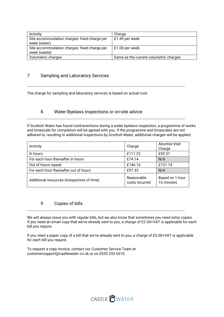| Activity                                                     | Charge                                 |
|--------------------------------------------------------------|----------------------------------------|
| Site accommodation charges: fixed charge per<br>week (water) | £1.49 per week                         |
| Site accommodation charges: fixed charge per<br>week (waste) | £1.08 per week                         |
| Volumetric charges                                           | Same as the current volumetric charges |

## 7 Sampling and Laboratory Services

The charge for sampling and laboratory services is based on actual cost.

### 8 Water Byelaws Inspections or on-site advice

If Scottish Water has found contraventions during a water byelaws inspection, a programme of works and timescale for completion will be agreed with you. If the programme and timescales are not adhered to, resulting in additional inspections by Scottish Water, additional charges will be applied.

| Activity                                    | Charge                       | <b>Abortive Visit</b><br>Charge |
|---------------------------------------------|------------------------------|---------------------------------|
| In hours                                    | £111.22                      | £92.51                          |
| For each hour thereafter in hours           | £74.14                       | N/A                             |
| Out of hours repeat                         | £146.16                      | £121.74                         |
| For each hour thereafter out of hours       | £97.33                       | N/A                             |
| Additional resources (irrespective of time) | Reasonable<br>costs incurred | Based on 1 hour<br>15 minutes   |

## 9 Copies of bills

We will always issue you with regular bills, but we also know that sometimes you need extra copies. If you need an email copy that we've already sent to you, a charge of £2.50+VAT is applicable for each bill you require.

If you need a paper copy of a bill that we've already sent to you, a charge of £5.00+VAT is applicable for each bill you require.

To request a copy invoice, contact our Customer Service Team at customersupport@castlewater.co.uk or on 0330 333 6510.

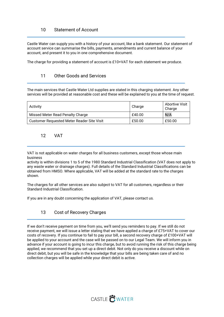## 10 Statement of Account

Castle Water can supply you with a history of your account, like a bank statement. Our statement of account service can summarise the bills, payments, amendments and current balance of your account, and present it to you in one comprehensive document.

The charge for providing a statement of account is £10+VAT for each statement we produce.

## 11 Other Goods and Services

The main services that Castle Water Ltd supplies are stated in this charging statement. Any other services will be provided at reasonable cost and these will be explained to you at the time of request.

| Activity                                   | Charge | <b>Abortive Visit</b><br>Charge |
|--------------------------------------------|--------|---------------------------------|
| Missed Meter Read Penalty Charge           | £40.00 | N/A                             |
| Customer Requested Meter Reader Site Visit | £50.00 | £50.00                          |

## 12 VAT

VAT is not applicable on water charges for all business customers, except those whose main business

activity is within divisions 1 to 5 of the 1980 Standard Industrial Classification (VAT does not apply to any waste water or drainage charges). Full details of the Standard Industrial Classifications can be obtained from HMSO. Where applicable, VAT will be added at the standard rate to the charges shown.

The charges for all other services are also subject to VAT for all customers, regardless or their Standard Industrial Classification.

If you are in any doubt concerning the application of VAT, please contact us.

## 13 Cost of Recovery Charges

If we don't receive payment on time from you, we'll send you reminders to pay. If we still do not receive payment, we will issue a letter stating that we have applied a charge of £75+VAT to cover our costs of recovery. If you continue to fail to pay your bill, a second recovery charge of £100+VAT will be applied to your account and the case will be passed on to our Legal Team. We will inform you in advance if your account is going to incur this charge, but to avoid running the risk of this charge being applied, we recommend that you set up a direct debit. Not only do you receive a discount while on direct debit, but you will be safe in the knowledge that your bills are being taken care of and no collection charges will be applied while your direct debit is active.